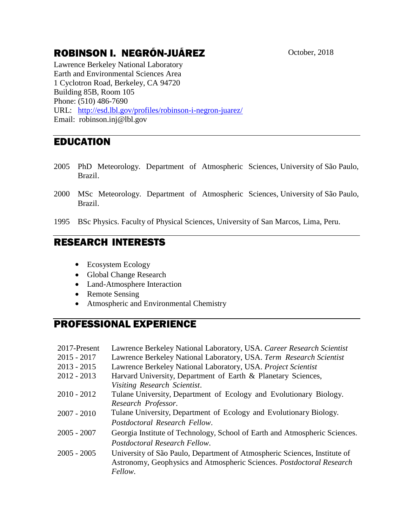# ROBINSON I. NEGRÓN-JUÁREZ October, 2018

Lawrence Berkeley National Laboratory Earth and Environmental Sciences Area 1 Cyclotron Road, Berkeley, CA 94720 Building 85B, Room 105 Phone: (510) 486-7690 URL: [http://esd.lbl.gov/profiles/robinson-i-negron-juarez/](http://esd.lbl.gov/about/staff/robinsonnegron-juarez/) Email: robinson.inj@lbl.gov

# EDUCATION

- 2005 PhD Meteorology. Department of Atmospheric Sciences, University of São Paulo, Brazil.
- 2000 MSc Meteorology. Department of Atmospheric Sciences, University of São Paulo, Brazil.
- 1995 BSc Physics. Faculty of Physical Sciences, University of San Marcos, Lima, Peru.

### RESEARCH INTERESTS

- Ecosystem Ecology
- Global Change Research
- Land-Atmosphere Interaction
- Remote Sensing
- Atmospheric and Environmental Chemistry

# PROFESSIONAL EXPERIENCE

| 2017-Present  | Lawrence Berkeley National Laboratory, USA. Career Research Scientist      |
|---------------|----------------------------------------------------------------------------|
| $2015 - 2017$ | Lawrence Berkeley National Laboratory, USA. Term Research Scientist        |
| $2013 - 2015$ | Lawrence Berkeley National Laboratory, USA. Project Scientist              |
| $2012 - 2013$ | Harvard University, Department of Earth & Planetary Sciences,              |
|               | Visiting Research Scientist.                                               |
| $2010 - 2012$ | Tulane University, Department of Ecology and Evolutionary Biology.         |
|               | Research Professor.                                                        |
| $2007 - 2010$ | Tulane University, Department of Ecology and Evolutionary Biology.         |
|               | Postdoctoral Research Fellow.                                              |
| $2005 - 2007$ | Georgia Institute of Technology, School of Earth and Atmospheric Sciences. |
|               | Postdoctoral Research Fellow.                                              |
| $2005 - 2005$ | University of São Paulo, Department of Atmospheric Sciences, Institute of  |
|               | Astronomy, Geophysics and Atmospheric Sciences. Postdoctoral Research      |
|               | Fellow.                                                                    |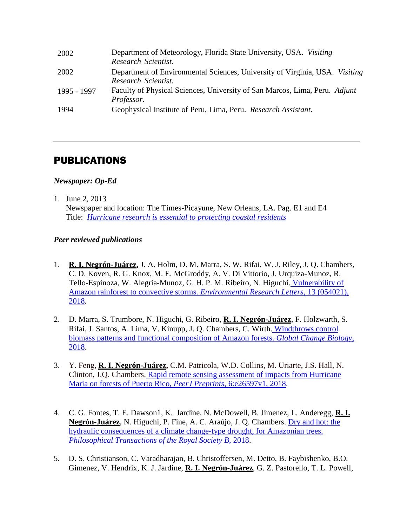| 2002        | Department of Meteorology, Florida State University, USA. Visiting<br>Research Scientist.          |
|-------------|----------------------------------------------------------------------------------------------------|
| 2002        | Department of Environmental Sciences, University of Virginia, USA. Visiting<br>Research Scientist. |
| 1995 - 1997 | Faculty of Physical Sciences, University of San Marcos, Lima, Peru. Adjunt<br>Professor.           |
| 1994        | Geophysical Institute of Peru, Lima, Peru. Research Assistant.                                     |

### PUBLICATIONS

#### *Newspaper: Op-Ed*

1. June 2, 2013

Newspaper and location: The Times-Picayune, New Orleans, LA. Pag. E1 and E4 Title: *Hurricane [research is essential to protecting coastal residents](http://www.nola.com/opinions/index.ssf/2013/06/hurricane_research_is_essentia.html#incart_river)*

#### *Peer reviewed publications*

- 1. **R. I. Negrón-Juárez,** J. A. Holm, D. M. Marra, S. W. Rifai, W. J. Riley, J. Q. Chambers, C. D. Koven, R. G. Knox, M. E. McGroddy, A. V. Di Vittorio, J. Urquiza-Munoz, R. Tello-Espinoza, W. Alegria-Munoz, G. H. P. M. Ribeiro, N. Higuchi. [Vulnerability of](http://iopscience.iop.org/article/10.1088/1748-9326/aabe9f/pdf)  [Amazon rainforest to convective storms.](http://iopscience.iop.org/article/10.1088/1748-9326/aabe9f/pdf) *Environmental Research Letters*, 13 (054021), [2018](http://iopscience.iop.org/article/10.1088/1748-9326/aabe9f/pdf)*.*
- 2. D. Marra, S. Trumbore, N. Higuchi, G. Ribeiro, **R. I. Negrón-Juárez**, F. Holzwarth, S. Rifai, J. Santos, A. Lima, V. Kinupp, J. Q. Chambers, C. Wirth. [Windthrows control](https://onlinelibrary.wiley.com/doi/10.1111/gcb.14457)  [biomass patterns and functional composition of Amazon forests.](https://onlinelibrary.wiley.com/doi/10.1111/gcb.14457) *Global Change Biology*, [2018.](https://onlinelibrary.wiley.com/doi/10.1111/gcb.14457)
- 3. Y. Feng, **R. I. Negrón-Juárez,** C.M. Patricola, W.D. Collins, M. Uriarte, J.S. Hall, N. Clinton, J.Q. Chambers. [Rapid remote sensing assessment of impacts from Hurricane](https://doi.org/10.7287/peerj.preprints.26597v1)  [Maria on forests of Puerto Rico,](https://doi.org/10.7287/peerj.preprints.26597v1) *PeerJ Preprints,* 6:e26597v1, 2018.
- 4. C. G. Fontes, T. E. Dawson1, K. Jardine, N. McDowell, B. Jimenez, L. Anderegg, **R. I. Negrón-Juárez**, N. Higuchi, P. Fine, A. C. Araújo, J. Q. Chambers. [Dry and hot: the](http://rstb.royalsocietypublishing.org/content/373/1760/20180209)  [hydraulic consequences of a climate change-type drought, for Amazonian trees.](http://rstb.royalsocietypublishing.org/content/373/1760/20180209)  *[Philosophical Transactions of the Royal Society B](http://rstb.royalsocietypublishing.org/content/373/1760/20180209)*, 2018.
- 5. D. S. Christianson, C. Varadharajan, B. Christoffersen, M. Detto, B. Faybishenko, B.O. Gimenez, V. Hendrix, K. J. Jardine, **R. I. Negrón-Juárez**, G. Z. Pastorello, T. L. Powell,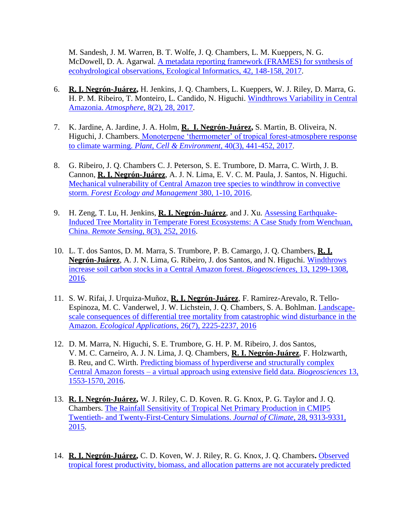M. Sandesh, J. M. Warren, B. T. Wolfe, J. Q. Chambers, L. M. Kueppers, N. G. McDowell, D. A. Agarwal. [A metadata reporting framework \(FRAMES\) for synthesis of](https://doi.org/10.1016/j.ecoinf.2017.06.002)  [ecohydrological observations, Ecological Informatics, 42, 148-158, 2017.](https://doi.org/10.1016/j.ecoinf.2017.06.002)

- 6. **R. I. Negrón-Juárez,** H. Jenkins, J. Q. Chambers, L. Kueppers, W. J. Riley, D. Marra, G. H. P. M. Ribeiro, T. Monteiro, L. Candido, N. Higuchi. [Windthrows Variability in Central](http://www.mdpi.com/2073-4433/8/2/28)  Amazonia. *Atmosphere,* [8\(2\), 28, 2017.](http://www.mdpi.com/2073-4433/8/2/28)
- 7. K. Jardine, A. Jardine, J. A. Holm, **R. I. Negrón-Juárez,** S. Martin, B. Oliveira, N. Higuchi, J. Chambers. [Monoterpene 'thermometer' of tropical forest-atmosphere response](http://onlinelibrary.wiley.com/doi/10.1111/pce.12879/full)  to climate warming. *[Plant, Cell & Environment,](http://onlinelibrary.wiley.com/doi/10.1111/pce.12879/full)* 40(3), 441-452, 2017.
- 8. G. Ribeiro, J. Q. Chambers C. J. Peterson, S. E. Trumbore, D. Marra, C. Wirth, J. B. Cannon, **R. I. Negrón-Juárez**, A. J. N. Lima, E. V. C. M. Paula, J. Santos, N. Higuchi. [Mechanical vulnerability of Central Amazon tree species to windthrow in convective](http://www.sciencedirect.com/science/article/pii/S0378112716304625)  storm. *[Forest Ecology and Management](http://www.sciencedirect.com/science/article/pii/S0378112716304625)* 380, 1-10, 2016.
- 9. H. Zeng, T. Lu, H. Jenkins, **R. I. Negrón-Juárez**, and J. Xu. [Assessing Earthquake-](http://www.mdpi.com/2072-4292/8/3/252/htm)[Induced Tree Mortality in Temperate Forest Ecosystems: A Case Study from Wenchuan,](http://www.mdpi.com/2072-4292/8/3/252/htm)  China. *Remote Sensing*[, 8\(3\), 252, 2016.](http://www.mdpi.com/2072-4292/8/3/252/htm)
- 10. L. T. dos Santos, D. M. Marra, S. Trumbore, P. B. Camargo, J. Q. Chambers, **R. I. Negrón-Juárez**, A. J. N. Lima, G. Ribeiro, J. dos Santos, and N. Higuchi. [Windthrows](https://www.biogeosciences.net/13/1299/2016/bg-13-1299-2016.pdf)  [increase soil carbon stocks in a Central Amazon forest.](https://www.biogeosciences.net/13/1299/2016/bg-13-1299-2016.pdf) *Biogeosciences*, 13, 1299-1308, [2016.](https://www.biogeosciences.net/13/1299/2016/bg-13-1299-2016.pdf)
- 11. S. W. Rifai, J. Urquiza-Muñoz, **R. I. Negrón-Juárez**, F. Ramirez-Arevalo, R. Tello-Espinoza, M. C. Vanderwel, J. W. Lichstein, J. Q. Chambers, S. A. Bohlman. [Landscape](https://esajournals.onlinelibrary.wiley.com/doi/full/10.1002/eap.1368)[scale consequences of differential tree mortality from catastrophic wind disturbance in the](https://esajournals.onlinelibrary.wiley.com/doi/full/10.1002/eap.1368)  Amazon. *Ecological Applications*[, 26\(7\), 2225-2237, 2016](https://esajournals.onlinelibrary.wiley.com/doi/full/10.1002/eap.1368)
- 12. D. M. Marra, N. Higuchi, S. E. Trumbore, G. H. P. M. Ribeiro, J. dos Santos, V. M. C. Carneiro, A. J. N. Lima, J. Q. Chambers, **R. I. Negrón-Juárez**, F. Holzwarth, B. Reu, and C. Wirth. [Predicting biomass of hyperdiverse and structurally complex](https://www.biogeosciences.net/13/1553/2016/)  Central Amazon forests – [a virtual approach using extensive field data.](https://www.biogeosciences.net/13/1553/2016/) *Biogeosciences* 13, [1553-1570, 2016.](https://www.biogeosciences.net/13/1553/2016/)
- 13. **R. I. Negrón-Juárez,** W. J. Riley, C. D. Koven. R. G. Knox, P. G. Taylor and J. Q. Chambers. [The Rainfall Sensitivity of Tropical Net Primary Production in CMIP5](https://journals.ametsoc.org/doi/full/10.1175/JCLI-D-14-00675.1)  Twentieth- [and Twenty-First-Century Simulations.](https://journals.ametsoc.org/doi/full/10.1175/JCLI-D-14-00675.1) *Journal of Climate*, 28, 9313-9331, [2015.](https://journals.ametsoc.org/doi/full/10.1175/JCLI-D-14-00675.1)
- 14. **R. I. Negrón-Juárez,** C. D. Koven, W. J. Riley, R. G. Knox, J. Q. Chambers**.** [Observed](http://iopscience.iop.org/article/10.1088/1748-9326/10/6/064017/pdf)  [tropical forest productivity, biomass, and allocation patterns are not accurately predicted](http://iopscience.iop.org/article/10.1088/1748-9326/10/6/064017/pdf)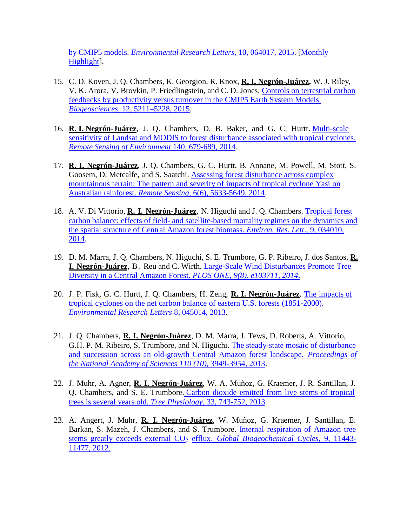by CMIP5 models. *[Environmental Research Letters](http://iopscience.iop.org/article/10.1088/1748-9326/10/6/064017/pdf)*, 10, 064017, 2015. [\[Monthly](http://iopscience.iop.org/1748-9326/page/2015%20monthly%20highlights#jun)  [Highlight\]](http://iopscience.iop.org/1748-9326/page/2015%20monthly%20highlights#jun).

- 15. C. D. Koven, J. Q. Chambers, K. Georgion, R. Knox, **R. I. Negrón-Juárez,** W. J. Riley, V. K. Arora, V. Brovkin, P. Friedlingstein, and C. D. Jones. [Controls on terrestrial carbon](https://www.biogeosciences.net/12/5211/2015/)  [feedbacks by productivity versus turnover in the CMIP5 Earth System Models.](https://www.biogeosciences.net/12/5211/2015/)  *Biogeosciences*[, 12, 5211–5228, 2015.](https://www.biogeosciences.net/12/5211/2015/)
- 16. **R. I. Negrón-Juárez**, J. Q. Chambers, D. B. Baker, and G. C. Hurtt. [Multi-scale](https://www.sciencedirect.com/science/article/pii/S0034425713003659)  sensitivity of Landsat and MODIS to forest [disturbance](https://www.sciencedirect.com/science/article/pii/S0034425713003659) associated with tropical cyclones. *Remote [Sensing of Environment](https://www.sciencedirect.com/science/article/pii/S0034425713003659)* 140, 679-689, 2014.
- 17. **R. I. Negrón-Juárez**, J. Q. Chambers, G. C. Hurtt, B. Annane, M. Powell, M. Stott, S. Goosem, D. Metcalfe, and S. Saatchi. [Assessing forest](http://www.mdpi.com/2072-4292/6/6/5633) disturbance across complex [mountainous](http://www.mdpi.com/2072-4292/6/6/5633) terrain: The pattern and severity of impacts of tropical cyclone Yasi on Australian rainforest. *Remote Sensing*[, 6\(6\), 5633-5649, 2014.](http://www.mdpi.com/2072-4292/6/6/5633)
- 18. A. V. Di Vittorio, **R. I. Negrón-Juárez**, N. Higuchi and J. Q. Chambers. [Tropical forest](http://iopscience.iop.org/1748-9326/9/3/034010)  carbon balance: effects of field- [and satellite-based mortality regimes on the dynamics and](http://iopscience.iop.org/1748-9326/9/3/034010)  [the spatial structure of Central Amazon forest biomass.](http://iopscience.iop.org/1748-9326/9/3/034010) *Environ. Res. Lett*., 9, 034010, [2014.](http://iopscience.iop.org/1748-9326/9/3/034010)
- 19. D. M. Marra, J. Q. Chambers, N. Higuchi, S. E. Trumbore, G. P. Ribeiro, J. dos Santos, **R. I. Negrón-Juárez**, B. Reu and C. Wirth. [Large-Scale Wind Disturbances Promote Tree](https://journals.plos.org/plosone/article?id=10.1371/journal.pone.0103711)  [Diversity in a Central Amazon Forest.](https://journals.plos.org/plosone/article?id=10.1371/journal.pone.0103711) *PLOS ONE, 9(8), e103711, 2014*.
- 20. J. P. Fisk, G. C. Hurtt, J. Q. Chambers, H. Zeng, **R. I. Negrón-Juárez**. The [impacts of](http://iopscience.iop.org/article/10.1088/1748-9326/8/4/045017/meta)  tropical cyclones on the [net carbon balance](http://iopscience.iop.org/article/10.1088/1748-9326/8/4/045017/meta) of eastern U.S. forests (1851-2000). *Environmental Research Letters* [8, 045014, 2013.](http://iopscience.iop.org/article/10.1088/1748-9326/8/4/045017/meta)
- 21. J. Q. Chambers, **R. I. Negrón-Juárez**, D. M. Marra, J. Tews, D. Roberts, A. Vittorio, G.H. P. M. Ribeiro, S. Trumbore, and N. Higuchi. [The steady-state mosaic](http://www.pnas.org/content/110/10/3949.short) of disturbance and succession across an old-growth Central Amazon forest landscape. *[Proceedings](http://www.pnas.org/content/110/10/3949.short) of the National Academy of Sciences 110 (10)*[, 3949-3954, 2013.](http://www.pnas.org/content/110/10/3949.short)
- 22. J. Muhr, A. Agner, **R. I. Negrón-Juárez**, W. A. Muñoz, G. Kraemer, J. R. Santillan, J. Q. Chambers, and S. E. Trumbore. Carbon dioxide emitted from live stems of [tropical](http://treephys.oxfordjournals.org/content/33/7/743.full.pdf)  trees is several years old. *Tree Physiology,* [33, 743-752, 2013.](http://treephys.oxfordjournals.org/content/33/7/743.full.pdf)
- 23. A. Angert, J. Muhr, **R. I. Negrón-Juárez**, W. Muñoz, G. Kraemer, J. Santillan, E. Barkan, S. Mazeh, J. Chambers, and S. Trumbore. Internal [respiration](http://www.biogeosciences-discuss.net/9/11443/2012/bgd-9-11443-2012.html) of Amazon tree stems greatly exceeds external CO<sub>2</sub> efflux. *Global [Biogeochemical](http://www.biogeosciences-discuss.net/9/11443/2012/bgd-9-11443-2012.html) Cycles*, 9, 11443-[11477, 2012.](http://www.biogeosciences-discuss.net/9/11443/2012/bgd-9-11443-2012.html)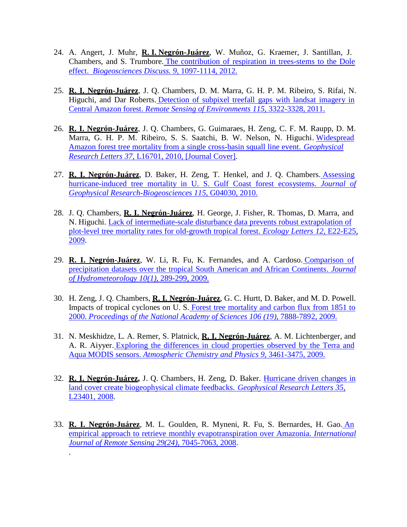- 24. A. Angert, J. Muhr, **R. I. Negrón-Juárez**, W. Muñoz, G. Kraemer, J. Santillan, J. Chambers, and S. Trumbore. The [contribution](https://www.biogeosciences.net/9/4037/2012/) of respiration in trees-stems to the Dole effect. *[Biogeosciences Discuss. 9,](https://www.biogeosciences.net/9/4037/2012/)* 1097-1114, 2012.
- 25. **R. I. Negrón-Juárez**, J. Q. Chambers, D. M. Marra, G. H. P. M. Ribeiro, S. Rifai, N. Higuchi, and Dar Roberts. [Detection](http://www.sciencedirect.com/science/article/pii/S0034425711002689) of subpixel treefall gaps with landsat imagery in Central Amazon forest. *Remote [Sensing of Environments](http://www.sciencedirect.com/science/article/pii/S0034425711002689) 115*, 3322-3328, 2011.
- 26. **R. I. Negrón-Juárez**, J. Q. Chambers, G. Guimaraes, H. Zeng, C. F. M. Raupp, D. M. Marra, G. H. P. M. Ribeiro, S. S. Saatchi, B. W. Nelson, N. Higuchi. [Widespread](http://onlinelibrary.wiley.com/doi/10.1029/2010GL043733/abstract)  Amazon forest tree [mortality from](http://onlinelibrary.wiley.com/doi/10.1029/2010GL043733/abstract) a single cross-basin squall line event. *Geophysical Research Letters 37*, [L16701, 2010, \[Journal Cover\].](http://onlinelibrary.wiley.com/doi/10.1029/2010GL043733/abstract)
- 27. **R. I. Negrón-Juárez**, D. Baker, H. Zeng, T. Henkel, and J. Q. Chambers. [Assessing](http://onlinelibrary.wiley.com/doi/10.1029/2009JG001221/abstract)  [hurricane-induced tree mortality in U. S. Gulf Coast forest ecosystems.](http://onlinelibrary.wiley.com/doi/10.1029/2009JG001221/abstract) *Journal of [Geophysical Research-Biogeosciences](http://onlinelibrary.wiley.com/doi/10.1029/2009JG001221/abstract) 115*, G04030, 2010.
- 28. J. Q. Chambers, **R. I. Negrón-Juárez**, H. George, J. Fisher, R. Thomas, D. Marra, and N. Higuchi. Lack of intermediate-scale [disturbance data prevents](http://onlinelibrary.wiley.com/doi/10.1111/j.1461-0248.2009.01398.x/abstract) robust extrapolation of plot-level tree mortality rates for [old-growth](http://onlinelibrary.wiley.com/doi/10.1111/j.1461-0248.2009.01398.x/abstract) tropical forest. *Ecology Letters 12*, E22-E25, [2009.](http://onlinelibrary.wiley.com/doi/10.1111/j.1461-0248.2009.01398.x/abstract)
- 29. **R. I. Negrón-Juárez**, W. Li, R. Fu, K. Fernandes, and A. Cardoso. [Comparison](http://journals.ametsoc.org/doi/abs/10.1175/2008JHM1023.1) of [precipitation](http://journals.ametsoc.org/doi/abs/10.1175/2008JHM1023.1) datasets over the tropical South American and African Continents. *Journal [of Hydrometeorology 10\(1\)](http://journals.ametsoc.org/doi/abs/10.1175/2008JHM1023.1)*, 289-299, 2009.
- 30. H. Zeng, J. Q. Chambers, **R. I. Negrón-Juárez**, G. C. Hurtt, D. Baker, and M. D. Powell. Impacts of tropical cyclones on U. S. Forest tree [mortality](http://www.pnas.org/content/early/2009/04/27/0808914106.abstract) and carbon flux from 1851 to 2000. *[Proceedings of the](http://www.pnas.org/content/early/2009/04/27/0808914106.abstract) National Academy of Sciences 106 (19)*, 7888-7892, 2009.
- 31. N. Meskhidze, L. A. Remer, S. Platnick, **R. I. Negrón-Juárez**, A. M. Lichtenberger, and A. R. Aiyyer. Exploring the [differences](http://www.atmos-chem-phys.net/9/3461/2009/acp-9-3461-2009.html) in cloud properties observed by the Terra and Aqua MODIS sensors. *[Atmospheric Chemistry](http://www.atmos-chem-phys.net/9/3461/2009/acp-9-3461-2009.html) and Physics 9*, 3461-3475, 2009.
- 32. **R. I. Negrón-Juárez,** J. Q. Chambers, H. Zeng, D. Baker. [Hurricane](http://onlinelibrary.wiley.com/doi/10.1029/2008GL035683/abstract) driven changes in land cover create biogeophysical [climate feedbacks.](http://onlinelibrary.wiley.com/doi/10.1029/2008GL035683/abstract) *Geophysical Research Letters 35*, [L23401, 2008.](http://onlinelibrary.wiley.com/doi/10.1029/2008GL035683/abstract)
- 33. **R. I. Negrón-Juárez**, M. L. Goulden, R. Myneni, R. Fu, S. Bernardes, H. Gao. [An](http://www.tandfonline.com/doi/abs/10.1080/01431160802226026#preview)  empirical approach to retrieve monthly [evapotranspiration](http://www.tandfonline.com/doi/abs/10.1080/01431160802226026#preview) over Amazonia. *International Journal of Remote Sensing 29(24)*[, 7045-7063, 2008.](http://www.tandfonline.com/doi/abs/10.1080/01431160802226026#preview)

.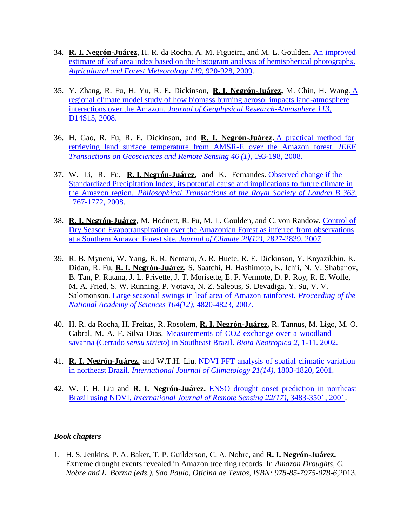- 34. **R. I. Negrón-Juárez**, H. R. da Rocha, A. M. Figueira, and M. L. Goulden. An [improved](http://www.sciencedirect.com/science/article/pii/S0168192308003341)  [estimate of leaf area index](http://www.sciencedirect.com/science/article/pii/S0168192308003341) based on the histogram analysis of hemispherical photographs. *[Agricultural and Forest](http://www.sciencedirect.com/science/article/pii/S0168192308003341) Meteorology 149*, 920-928, 2009.
- 35. Y. Zhang, R. Fu, H. Yu, R. E. Dickinson, **R. I. Negrón-Juárez,** M. Chin, H. Wang. [A](http://onlinelibrary.wiley.com/doi/10.1029/2007JD009449/abstract)  regional climate model study of how biomass burning aerosol impacts [land-atmosphere](http://onlinelibrary.wiley.com/doi/10.1029/2007JD009449/abstract)  interactions over the Amazon. *Journal of Geophysical [Research-Atmosphere](http://onlinelibrary.wiley.com/doi/10.1029/2007JD009449/abstract) 113*, [D14S15, 2008.](http://onlinelibrary.wiley.com/doi/10.1029/2007JD009449/abstract)
- 36. H. Gao, R. Fu, R. E. Dickinson, and **R. I. Negrón-Juárez.** A [practical](https://ieeexplore.ieee.org/document/4383356/) method for [retrieving land surface temperature from AMSR-E over the Amazon forest.](https://ieeexplore.ieee.org/document/4383356/) *IEEE [Transactions on Geosciences and Remote](https://ieeexplore.ieee.org/document/4383356/) Sensing 46 (1)*, 193-198, 2008.
- 37. W. Li, R. Fu, **R. I. Negrón-Juárez**, and K. Fernandes. [Observed change if the](http://rstb.royalsocietypublishing.org/content/363/1498/1767.full)  Standardized Precipitation Index, its potential cause and implications to [future climate in](http://rstb.royalsocietypublishing.org/content/363/1498/1767.full)  the Amazon region. *[Philosophical](http://rstb.royalsocietypublishing.org/content/363/1498/1767.full) Transactions of the Royal Society of London B 363*, [1767-1772, 2008.](http://rstb.royalsocietypublishing.org/content/363/1498/1767.full)
- 38. **R. I. Negrón-Juárez,** M. Hodnett, R. Fu, M. L. Goulden, and C. von Randow. [Control](http://journals.ametsoc.org/doi/abs/10.1175/JCLI4184.1) of Dry Season [Evapotranspiration](http://journals.ametsoc.org/doi/abs/10.1175/JCLI4184.1) over the Amazonian Forest as inferred from observations [at a Southern Amazon Forest site.](http://journals.ametsoc.org/doi/abs/10.1175/JCLI4184.1) *Journal of Climate 20(12)*, 2827-2839, 2007.
- 39. R. B. Myneni, W. Yang, R. R. Nemani, A. R. Huete, R. E. Dickinson, Y. Knyazikhin, K. Didan, R. Fu, **R. I. Negrón-Juárez**, S. Saatchi, H. Hashimoto, K. Ichii, N. V. Shabanov, B. Tan, P. Ratana, J. L. Privette, J. T. Morisette, E. F. Vermote, D. P. Roy, R. E. Wolfe, M. A. Fried, S. W. Running, P. Votava, N. Z. Saleous, S. Devadiga, Y. Su, V. V. Salomonson. Large seasonal swings in leaf area of Amazon rainforest. *[Proceeding](http://www.pnas.org/content/104/12/4820.short) of the National Academy of Sciences 104(12)*[, 4820-4823, 2007.](http://www.pnas.org/content/104/12/4820.short)
- 40. H. R. da Rocha, H. Freitas, R. Rosolem, **R. I. Negrón-Juárez,** R. Tannus, M. Ligo, M. O. Cabral, M. A. F. Silva Dias. [Measurements](http://www.scielo.br/pdf/bn/v2n1/a09v2n1.pdf) of CO2 exchange over a woodland savanna (Cerrado *sensu stricto*[\) in Southeast Brazil.](http://www.scielo.br/pdf/bn/v2n1/a09v2n1.pdf) *Biota Neotropica 2*, 1-11. 2002.
- 41. **R. I. Negrón-Juárez,** and W.T.H. Liu. NDVI FFT analysis of spatial climatic [variation](http://onlinelibrary.wiley.com/doi/10.1002/joc.639/abstract)  in northeast Brazil. *International [Journal of Climatology](http://onlinelibrary.wiley.com/doi/10.1002/joc.639/abstract) 21(14)*, 1803-1820, 2001.
- 42. W. T. H. Liu and **R. I. Negrón-Juárez.** ENSO drought onset [prediction](http://www.tandfonline.com/doi/abs/10.1080/01431160010006430#preview) in northeast Brazil using NDVI. *International Journal of Remote Sensing 22(17)*[, 3483-3501, 2001.](http://www.tandfonline.com/doi/abs/10.1080/01431160010006430#preview)

#### *Book chapters*

1. H. S. Jenkins, P. A. Baker, T. P. Guilderson, C. A. Nobre, and **R. I. Negrón-Juárez.** Extreme drought events revealed in Amazon tree ring records. In *Amazon Droughts, C. Nobre and L. Borma (eds.). Sao Paulo, Oficina de Textos, ISBN: 978-85-7975-078-6,*2013.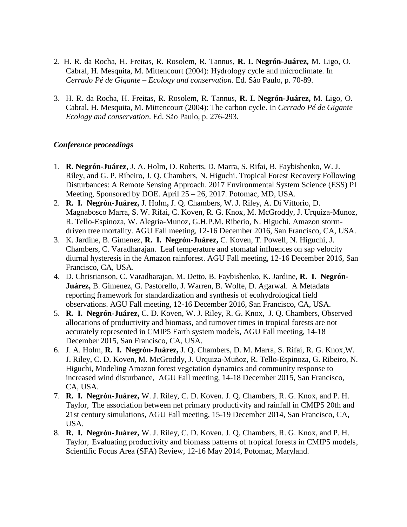- 2. H. R. da Rocha, H. Freitas, R. Rosolem, R. Tannus, **R. I. Negrón-Juárez,** M. Ligo, O. Cabral, H. Mesquita, M. Mittencourt (2004): Hydrology cycle and microclimate. In *Cerrado Pé de Gigante – Ecology and conservation*. Ed. São Paulo, p. 70-89.
- 3. H. R. da Rocha, H. Freitas, R. Rosolem, R. Tannus, **R. I. Negrón-Juárez,** M. Ligo, O. Cabral, H. Mesquita, M. Mittencourt (2004): The carbon cycle. In *Cerrado Pé de Gigante – Ecology and conservation*. Ed. São Paulo, p. 276-293.

#### *Conference proceedings*

- 1. **R. Negrón-Juárez**, J. A. Holm, D. Roberts, D. Marra, S. Rifai, B. Faybishenko, W. J. Riley, and G. P. Ribeiro, J. Q. Chambers, N. Higuchi. Tropical Forest Recovery Following Disturbances: A Remote Sensing Approach. 2017 Environmental System Science (ESS) PI Meeting, Sponsored by DOE. April 25 – 26, 2017. Potomac, MD, USA.
- 2. **R. I. Negrón-Juárez,** J. Holm**,** J. Q. Chambers, W. J. Riley, A. Di Vittorio, D. Magnabosco Marra, S. W. Rifai, C. Koven, R. G. Knox, M. McGroddy, J. Urquiza-Munoz, R. Tello-Espinoza, W. Alegria-Munoz, G.H.P.M. Riberio, N. Higuchi. Amazon stormdriven tree mortality. AGU Fall meeting, 12-16 December 2016, San Francisco, CA, USA.
- 3. K. Jardine, B. Gimenez, **R. I. Negrón-Juárez,** C. Koven, T. Powell, N. Higuchi, J. Chambers, C. Varadharajan. Leaf temperature and stomatal influences on sap velocity diurnal hysteresis in the Amazon rainforest. AGU Fall meeting, 12-16 December 2016, San Francisco, CA, USA.
- 4. D. Christianson, C. Varadharajan, M. Detto, B. Faybishenko, K. Jardine, **R. I. Negrón-Juárez,** B. Gimenez, G. Pastorello, J. Warren, B. Wolfe, D. Agarwal. A Metadata reporting framework for standardization and synthesis of ecohydrological field observations. AGU Fall meeting, 12-16 December 2016, San Francisco, CA, USA.
- 5. **R. I. Negrón-Juárez,** C. D. Koven, W. J. Riley, R. G. Knox, J. Q. Chambers, Observed allocations of productivity and biomass, and turnover times in tropical forests are not accurately represented in CMIP5 Earth system models, AGU Fall meeting, 14-18 December 2015, San Francisco, CA, USA.
- 6. J. A. Holm, **R. I. Negrón-Juárez,** J. Q. Chambers, D. M. Marra, S. Rifai, R. G. Knox,W. J. Riley, C. D. Koven, M. McGroddy, J. Urquiza-Muñoz, R. Tello-Espinoza, G. Ribeiro, N. Higuchi, Modeling Amazon forest vegetation dynamics and community response to increased wind disturbance, AGU Fall meeting, 14-18 December 2015, San Francisco, CA, USA.
- 7. **R. I. Negrón-Juárez,** W. J. Riley, C. D. Koven. J. Q. Chambers, R. G. Knox, and P. H. Taylor, The association between net primary productivity and rainfall in CMIP5 20th and 21st century simulations, AGU Fall meeting, 15-19 December 2014, San Francisco, CA, USA.
- 8. **R. I. Negrón-Juárez,** W. J. Riley, C. D. Koven. J. Q. Chambers, R. G. Knox, and P. H. Taylor, Evaluating productivity and biomass patterns of tropical forests in CMIP5 models, Scientific Focus Area (SFA) Review, 12-16 May 2014, Potomac, Maryland.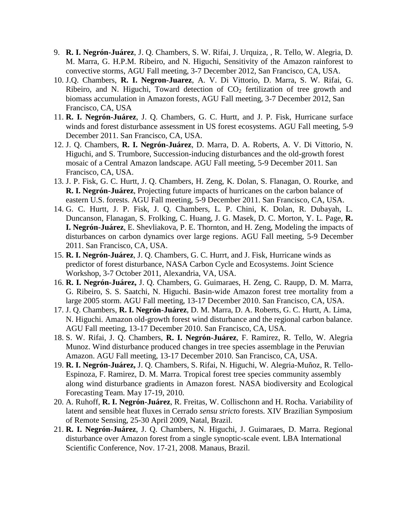- 9. **R. I. Negrón-Juárez**, J. Q. Chambers, S. W. Rifai, J. Urquiza, , R. Tello, W. Alegria, D. M. Marra, G. H.P.M. Ribeiro, and N. Higuchi, Sensitivity of the Amazon rainforest to convective storms, AGU Fall meeting, 3-7 December 2012, San Francisco, CA, USA.
- 10. J.Q. Chambers, **R. I. Negron-Juarez**, A. V. Di Vittorio, D. Marra, S. W. Rifai, G. Ribeiro, and N. Higuchi, Toward detection of  $CO<sub>2</sub>$  fertilization of tree growth and biomass accumulation in Amazon forests, AGU Fall meeting, 3-7 December 2012, San Francisco, CA, USA
- 11. **R. I. Negrón-Juárez**, J. Q. Chambers, G. C. Hurtt, and J. P. Fisk, Hurricane surface winds and forest disturbance assessment in US forest ecosystems. AGU Fall meeting, 5-9 December 2011. San Francisco, CA, USA.
- 12. J. Q. Chambers, **R. I. Negrón-Juárez**, D. Marra, D. A. Roberts, A. V. Di Vittorio, N. Higuchi, and S. Trumbore, Succession-inducing disturbances and the old-growth forest mosaic of a Central Amazon landscape. AGU Fall meeting, 5-9 December 2011. San Francisco, CA, USA.
- 13. J. P. Fisk, G. C. Hurtt, J. Q. Chambers, H. Zeng, K. Dolan, S. Flanagan, O. Rourke, and **R. I. Negrón-Juárez**, Projecting future impacts of hurricanes on the carbon balance of eastern U.S. forests. AGU Fall meeting, 5-9 December 2011. San Francisco, CA, USA.
- 14. G. C. Hurtt, J. P. Fisk, J. Q. Chambers, L. P. Chini, K. Dolan, R. Dubayah, L. Duncanson, Flanagan, S. Frolking, C. Huang, J. G. Masek, D. C. Morton, Y. L. Page, **R. I. Negrón-Juárez**, E. Shevliakova, P. E. Thornton, and H. Zeng, Modeling the impacts of disturbances on carbon dynamics over large regions. AGU Fall meeting, 5-9 December 2011. San Francisco, CA, USA.
- 15. **R. I. Negrón-Juárez**, J. Q. Chambers, G. C. Hurrt, and J. Fisk, Hurricane winds as predictor of forest disturbance, NASA Carbon Cycle and Ecosystems. Joint Science Workshop, 3-7 October 2011, Alexandria, VA, USA.
- 16. **R. I. Negrón-Juárez,** J. Q. Chambers, G. Guimaraes, H. Zeng, C. Raupp, D. M. Marra, G. Ribeiro, S. S. Saatchi, N. Higuchi. Basin-wide Amazon forest tree mortality from a large 2005 storm. AGU Fall meeting, 13-17 December 2010. San Francisco, CA, USA.
- 17. J. Q. Chambers, **R. I. Negrón-Juárez**, D. M. Marra, D. A. Roberts, G. C. Hurtt, A. Lima, N. Higuchi. Amazon old-growth forest wind disturbance and the regional carbon balance. AGU Fall meeting, 13-17 December 2010. San Francisco, CA, USA.
- 18. S. W. Rifai, J. Q. Chambers, **R. I. Negrón-Juárez**, F. Ramirez, R. Tello, W. Alegria Munoz. Wind disturbance produced changes in tree species assemblage in the Peruvian Amazon. AGU Fall meeting, 13-17 December 2010. San Francisco, CA, USA.
- 19. **R. I. Negrón-Juárez,** J. Q. Chambers, S. Rifai, N. Higuchi, W. Alegria-Muñoz, R. Tello-Espinoza, F. Ramirez, D. M. Marra. Tropical forest tree species community assembly along wind disturbance gradients in Amazon forest. NASA biodiversity and Ecological Forecasting Team. May 17-19, 2010.
- 20. A. Ruhoff, **R. I. Negrón-Juárez**, R. Freitas, W. Collischonn and H. Rocha. Variability of latent and sensible heat fluxes in Cerrado *sensu strict*o forests. XIV Brazilian Symposium of Remote Sensing, 25-30 April 2009, Natal, Brazil.
- 21. **R. I. Negrón-Juárez**, J. Q. Chambers, N. Higuchi, J. Guimaraes, D. Marra. Regional disturbance over Amazon forest from a single synoptic-scale event. LBA International Scientific Conference, Nov. 17-21, 2008. Manaus, Brazil.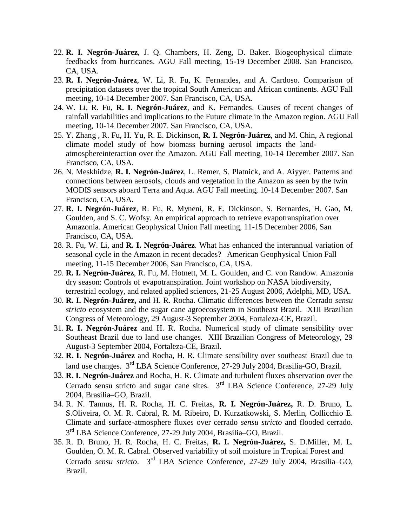- 22. **R. I. Negrón-Juárez**, J. Q. Chambers, H. Zeng, D. Baker. Biogeophysical climate feedbacks from hurricanes. AGU Fall meeting, 15-19 December 2008. San Francisco, CA, USA.
- 23. **R. I. Negrón-Juárez**, W. Li, R. Fu, K. Fernandes, and A. Cardoso. Comparison of precipitation datasets over the tropical South American and African continents. AGU Fall meeting, 10-14 December 2007. San Francisco, CA, USA.
- 24. W. Li, R. Fu, **R. I. Negrón-Juárez**, and K. Fernandes. Causes of recent changes of rainfall variabilities and implications to the Future climate in the Amazon region. AGU Fall meeting, 10-14 December 2007. San Francisco, CA, USA.
- 25. Y. Zhang , R. Fu, H. Yu, R. E. Dickinson, **R. I. Negrón-Juárez**, and M. Chin, A regional climate model study of how biomass burning aerosol impacts the landatmosphereinteraction over the Amazon. AGU Fall meeting, 10-14 December 2007. San Francisco, CA, USA.
- 26. N. Meskhidze, **R. I. Negrón-Juárez**, L. Remer, S. Platnick, and A. Aiyyer. Patterns and connections between aerosols, clouds and vegetation in the Amazon as seen by the twin MODIS sensors aboard Terra and Aqua. AGU Fall meeting, 10-14 December 2007. San Francisco, CA, USA.
- 27. **R. I. Negrón-Juárez**, R. Fu, R. Myneni, R. E. Dickinson, S. Bernardes, H. Gao, M. Goulden, and S. C. Wofsy. An empirical approach to retrieve evapotranspiration over Amazonia. American Geophysical Union Fall meeting, 11-15 December 2006, San Francisco, CA, USA.
- 28. R. Fu, W. Li, and **R. I. Negrón-Juárez**. What has enhanced the interannual variation of seasonal cycle in the Amazon in recent decades? American Geophysical Union Fall meeting, 11-15 December 2006, San Francisco, CA, USA.
- 29. **R. I. Negrón-Juárez**, R. Fu, M. Hotnett, M. L. Goulden, and C. von Randow. Amazonia dry season: Controls of evapotranspiration. Joint workshop on NASA biodiversity, terrestrial ecology, and related applied sciences, 21-25 August 2006, Adelphi, MD, USA.
- 30. **R. I. Negrón-Juárez,** and H. R. Rocha. Climatic differences between the Cerrado *sensu stricto* ecosystem and the sugar cane agroecosystem in Southeast Brazil. XIII Brazilian Congress of Meteorology, 29 August-3 September 2004, Fortaleza-CE, Brazil.
- 31. **R. I. Negrón-Juárez** and H. R. Rocha. Numerical study of climate sensibility over Southeast Brazil due to land use changes. XIII Brazilian Congress of Meteorology, 29 August-3 September 2004, Fortaleza-CE, Brazil.
- 32. **R. I. Negrón-Juárez** and Rocha, H. R. Climate sensibility over southeast Brazil due to land use changes. 3<sup>rd</sup> LBA Science Conference, 27-29 July 2004, Brasilia-GO, Brazil.
- 33. **R. I. Negrón-Juárez** and Rocha, H. R. Climate and turbulent fluxes observation over the Cerrado sensu stricto and sugar cane sites.  $3<sup>rd</sup>$  LBA Science Conference, 27-29 July 2004, Brasilia–GO, Brazil.
- 34. R. N. Tannus, H. R. Rocha, H. C. Freitas, **R. I. Negrón-Juárez,** R. D. Bruno, L. S.Oliveira, O. M. R. Cabral, R. M. Ribeiro, D. Kurzatkowski, S. Merlin, Collicchio E. Climate and surface-atmosphere fluxes over cerrado *sensu stricto* and flooded cerrado. 3<sup>rd</sup> LBA Science Conference, 27-29 July 2004, Brasilia-GO, Brazil.
- 35. R. D. Bruno, H. R. Rocha, H. C. Freitas, **R. I. Negrón-Juárez,** S. D.Miller, M. L. Goulden, O. M. R. Cabral. Observed variability of soil moisture in Tropical Forest and Cerrado *sensu stricto*. <sup>3rd</sup> LBA Science Conference, 27-29 July 2004, Brasilia–GO, Brazil.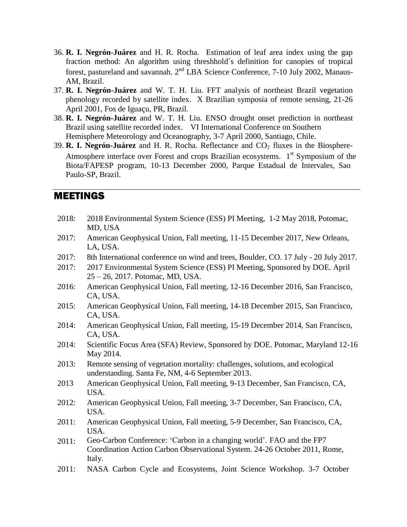- 36. **R. I. Negrón-Juárez** and H. R. Rocha. Estimation of leaf area index using the gap fraction method: An algorithm using threshhold´s definition for canopies of tropical forest, pastureland and savannah. 2<sup>nd</sup> LBA Science Conference, 7-10 July 2002, Manaus-AM, Brazil.
- 37. **R. I. Negrón-Juárez** and W. T. H. Liu. FFT analysis of northeast Brazil vegetation phenology recorded by satellite index. X Brazilian symposia of remote sensing, 21-26 April 2001, Fos de Iguaçu, PR, Brazil.
- 38. **R. I. Negrón-Juárez** and W. T. H. Liu. ENSO drought onset prediction in northeast Brazil using satellite recorded index. VI International Conference on Southern Hemisphere Meteorology and Oceanography, 3-7 April 2000, Santiago, Chile.
- 39. **R. I. Negrón-Juárez** and H. R. Rocha. Reflectance and CO<sub>2</sub> fluxes in the Biosphere-Atmosphere interface over Forest and crops Brazilian ecosystems. 1<sup>st</sup> Symposium of the Biota/FAPESP program, 10-13 December 2000, Parque Estadual de Intervales, Sao Paulo-SP, Brazil.

### MEETINGS

- 2018: 2018 Environmental System Science (ESS) PI Meeting, 1-2 May 2018, Potomac, MD, USA
- 2017: American Geophysical Union, Fall meeting, 11-15 December 2017, New Orleans, LA, USA.
- 2017: 8th International conference on wind and trees, Boulder, CO. 17 July 20 July 2017.
- 2017: 2017 Environmental System Science (ESS) PI Meeting, Sponsored by DOE. April 25 – 26, 2017. Potomac, MD, USA.
- 2016: American Geophysical Union, Fall meeting, 12-16 December 2016, San Francisco, CA, USA.
- 2015: American Geophysical Union, Fall meeting, 14-18 December 2015, San Francisco, CA, USA.
- 2014: American Geophysical Union, Fall meeting, 15-19 December 2014, San Francisco, CA, USA.
- 2014: Scientific Focus Area (SFA) Review, Sponsored by DOE. Potomac, Maryland 12-16 May 2014.
- 2013: Remote sensing of vegetation mortality: challenges, solutions, and ecological understanding. Santa Fe, NM, 4-6 September 2013.
- 2013 American Geophysical Union, Fall meeting, 9-13 December, San Francisco, CA, USA.
- 2012: American Geophysical Union, Fall meeting, 3-7 December, San Francisco, CA, USA.
- 2011: American Geophysical Union, Fall meeting, 5-9 December, San Francisco, CA, USA.
- 2011: Geo-Carbon Conference: 'Carbon in a changing world'. FAO and the FP7 Coordination Action Carbon Observational System. 24-26 October 2011, Rome, Italy.
- 2011: NASA Carbon Cycle and Ecosystems, Joint Science Workshop. 3-7 October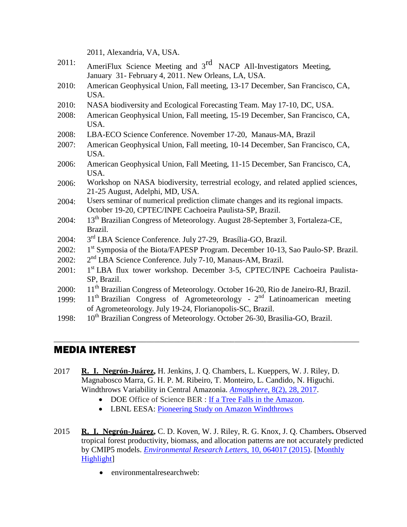2011, Alexandria, VA, USA.

- 2011: AmeriFlux Science Meeting and  $3<sup>rd</sup>$  NACP All-Investigators Meeting, January 31- February 4, 2011. New Orleans, LA, USA.
- 2010: American Geophysical Union, Fall meeting, 13-17 December, San Francisco, CA, USA.
- 2010: NASA biodiversity and Ecological Forecasting Team. May 17-10, DC, USA.
- 2008: American Geophysical Union, Fall meeting, 15-19 December, San Francisco, CA, USA.
- 2008: LBA-ECO Science Conference. November 17-20, Manaus-MA, Brazil
- 2007: American Geophysical Union, Fall meeting, 10-14 December, San Francisco, CA, USA.
- 2006: American Geophysical Union, Fall Meeting, 11-15 December, San Francisco, CA, USA.
- 2006: Workshop on NASA biodiversity, terrestrial ecology, and related applied sciences, 21-25 August, Adelphi, MD, USA.
- 2004: Users seminar of numerical prediction climate changes and its regional impacts. October 19-20, CPTEC/INPE Cachoeira Paulista-SP, Brazil.
- 2004: 13<sup>th</sup> Brazilian Congress of Meteorology. August 28-September 3, Fortaleza-CE, Brazil.
- 2004: 3 3<sup>rd</sup> LBA Science Conference. July 27-29, Brasília-GO, Brazil.
- 2002: 1 1<sup>st</sup> Symposia of the Biota/FAPESP Program. December 10-13, Sao Paulo-SP. Brazil.
- $2002:$ 2<sup>nd</sup> LBA Science Conference. July 7-10, Manaus-AM, Brazil.
- 2001: 1 1<sup>st</sup> LBA flux tower workshop. December 3-5, CPTEC/INPE Cachoeira Paulista-SP, Brazil.
- 2000: 11<sup>th</sup> Brazilian Congress of Meteorology. October 16-20, Rio de Janeiro-RJ, Brazil.
- 1999: 11<sup>th</sup> Brazilian Congress of Agrometeorology 2<sup>nd</sup> Latinoamerican meeting of Agrometeorology. July 19-24, Florianopolis-SC, Brazil.

\_\_\_\_\_\_\_\_\_\_\_\_\_\_\_\_\_\_\_\_\_\_\_\_\_\_\_\_\_\_\_\_\_\_\_\_\_\_\_\_\_\_\_\_\_\_\_\_\_\_\_\_\_\_\_\_\_\_\_\_\_\_\_\_\_\_\_\_\_\_\_\_\_\_\_\_

1998: 10th Brazilian Congress of Meteorology. October 26-30, Brasilia-GO, Brazil.

### MEDIA INTEREST

- 2017 **R. I. Negrón-Juárez,** H. Jenkins, J. Q. Chambers, L. Kueppers, W. J. Riley, D. Magnabosco Marra, G. H. P. M. Ribeiro, T. Monteiro, L. Candido, N. Higuchi. Windthrows Variability in Central Amazonia. *Atmosphere,* [8\(2\), 28, 2017.](http://www.mdpi.com/2073-4433/8/2/28)
	- DOE Office of Science BER : [If a Tree Falls in the Amazon.](https://science.energy.gov/ber/highlights/2017/ber-2017-06-b/)
	- LBNL EESA: [Pioneering Study on Amazon Windthrows](https://eesa.lbl.gov/negron-juarez-et-al-pioneering-study-amazon-windthrows/)
- 2015 **R. I. Negrón-Juárez,** C. D. Koven, W. J. Riley, R. G. Knox, J. Q. Chambers**.** Observed tropical forest productivity, biomass, and allocation patterns are not accurately predicted by CMIP5 models. *[Environmental Research Letters](http://iopscience.iop.org/article/10.1088/1748-9326/10/6/064017/pdf)*, 10, 064017 (2015). [\[Monthly](http://iopscience.iop.org/1748-9326/page/2015%20monthly%20highlights#jun)  [Highlight\]](http://iopscience.iop.org/1748-9326/page/2015%20monthly%20highlights#jun)
	- environmentalresearchweb: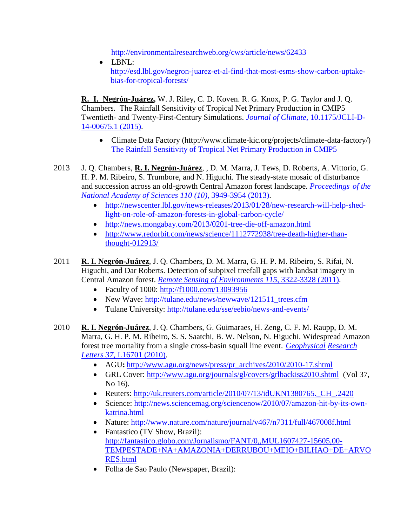<http://environmentalresearchweb.org/cws/article/news/62433>

• LBNL: [http://esd.lbl.gov/negron-juarez-et-al-find-that-most-esms-show-carbon-uptake](http://esd.lbl.gov/negron-juarez-et-al-find-that-most-esms-show-carbon-uptake-bias-for-tropical-forests/)[bias-for-tropical-forests/](http://esd.lbl.gov/negron-juarez-et-al-find-that-most-esms-show-carbon-uptake-bias-for-tropical-forests/)

**R. I. Negrón-Juárez,** W. J. Riley, C. D. Koven. R. G. Knox, P. G. Taylor and J. Q. Chambers. The Rainfall Sensitivity of Tropical Net Primary Production in CMIP5 Twentieth- and Twenty-First-Century Simulations. *[Journal of Climate](http://journals.ametsoc.org/doi/abs/10.1175/JCLI-D-14-00675.1)*, 10.1175/JCLI-D-[14-00675.1 \(2015\).](http://journals.ametsoc.org/doi/abs/10.1175/JCLI-D-14-00675.1)

- Climate Data Factory (http://www.climate-kic.org/projects/climate-data-factory/) [The Rainfall Sensitivity of Tropical Net Primary Production in CMIP5](https://twitter.com/TheClimDatFac/status/648530919465353216)
- 2013 J. Q. Chambers, **R. I. Negrón-Juárez**, , D. M. Marra, J. Tews, D. Roberts, A. Vittorio, G. H. P. M. Ribeiro, S. Trumbore, and N. Higuchi. The steady-state mosaic of disturbance and succession across an old-growth Central Amazon forest landscape. *[Proceedings](http://www.pnas.org/content/110/10/3949.short) of [the](http://www.pnas.org/content/110/10/3949.short)  National Academy of Sciences 110 (10)*[, 3949-3954 \(2013\).](http://www.pnas.org/content/110/10/3949.short)
	- [http://newscenter.lbl.gov/news-releases/2013/01/28/new-research-will-help-shed](http://newscenter.lbl.gov/news-releases/2013/01/28/new-research-will-help-shed-light-on-role-of-amazon-forests-in-global-carbon-cycle/)[light-on-role-of-amazon-forests-in-global-carbon-cycle/](http://newscenter.lbl.gov/news-releases/2013/01/28/new-research-will-help-shed-light-on-role-of-amazon-forests-in-global-carbon-cycle/)
	- <http://news.mongabay.com/2013/0201-tree-die-off-amazon.html>
	- [http://www.redorbit.com/news/science/1112772938/tree-death-higher-than](http://www.redorbit.com/news/science/1112772938/tree-death-higher-than-thought-012913/)[thought-012913/](http://www.redorbit.com/news/science/1112772938/tree-death-higher-than-thought-012913/)
- 2011 **R. I. Negrón-Juárez**, J. Q. Chambers, D. M. Marra, G. H. P. M. Ribeiro, S. Rifai, N. Higuchi, and Dar Roberts. Detection of subpixel treefall gaps with landsat imagery in Central Amazon forest. *Remote [Sensing of Environments](http://www.sciencedirect.com/science/article/pii/S0034425711002689) 115*, 3322-3328 (2011).
	- Faculty of 1000: [http://f1000.com/13093956](https://ent.tulane.edu/exchweb/bin/redir.asp?URL=http://f1000.com/13093956)
	- New Wave: [http://tulane.edu/news/newwave/121511\\_trees.cfm](http://tulane.edu/news/newwave/121511_trees.cfm)
	- Tulane University:<http://tulane.edu/sse/eebio/news-and-events/>
- 2010 **R. I. Negrón-Juárez**, J. Q. Chambers, G. Guimaraes, H. Zeng, C. F. M. Raupp, D. M. Marra, G. H. P. M. Ribeiro, S. S. Saatchi, B. W. Nelson, N. Higuchi. Widespread Amazon forest tree mortality from a single cross-basin squall line event. *[Geophysical](http://onlinelibrary.wiley.com/doi/10.1029/2010GL043733/abstract) [Research](http://onlinelibrary.wiley.com/doi/10.1029/2010GL043733/abstract)  Letters 37*, [L16701 \(2010\).](http://onlinelibrary.wiley.com/doi/10.1029/2010GL043733/abstract)
	- AGU: [http://www.agu.org/news/press/pr\\_archives/2010/2010-17.shtml](http://www.agu.org/news/press/pr_archives/2010/2010-17.shtml)
	- GRL Cover:<http://www.agu.org/journals/gl/covers/grlbackiss2010.shtml>(Vol 37, No 16).
	- Reuters: [http://uk.reuters.com/article/2010/07/13/idUKN1380765.\\_CH\\_.2420](http://uk.reuters.com/article/2010/07/13/idUKN1380765._CH_.2420)
	- Science: [http://news.sciencemag.org/sciencenow/2010/07/amazon-hit-by-its-own](http://news.sciencemag.org/sciencenow/2010/07/amazon-hit-by-its-own-katrina.html)[katrina.html](http://news.sciencemag.org/sciencenow/2010/07/amazon-hit-by-its-own-katrina.html)
	- Nature:<http://www.nature.com/nature/journal/v467/n7311/full/467008f.html>
	- Fantastico (TV Show, Brazil): [http://fantastico.globo.com/Jornalismo/FANT/0,,MUL1607427-15605,00-](http://fantastico.globo.com/Jornalismo/FANT/0,,MUL1607427-15605,00-TEMPESTADE+NA+AMAZONIA+DERRUBOU+MEIO+BILHAO+DE+ARVORES.html) [TEMPESTADE+NA+AMAZONIA+DERRUBOU+MEIO+BILHAO+DE+ARVO](http://fantastico.globo.com/Jornalismo/FANT/0,,MUL1607427-15605,00-TEMPESTADE+NA+AMAZONIA+DERRUBOU+MEIO+BILHAO+DE+ARVORES.html) [RES.html](http://fantastico.globo.com/Jornalismo/FANT/0,,MUL1607427-15605,00-TEMPESTADE+NA+AMAZONIA+DERRUBOU+MEIO+BILHAO+DE+ARVORES.html)
	- Folha de Sao Paulo (Newspaper, Brazil):